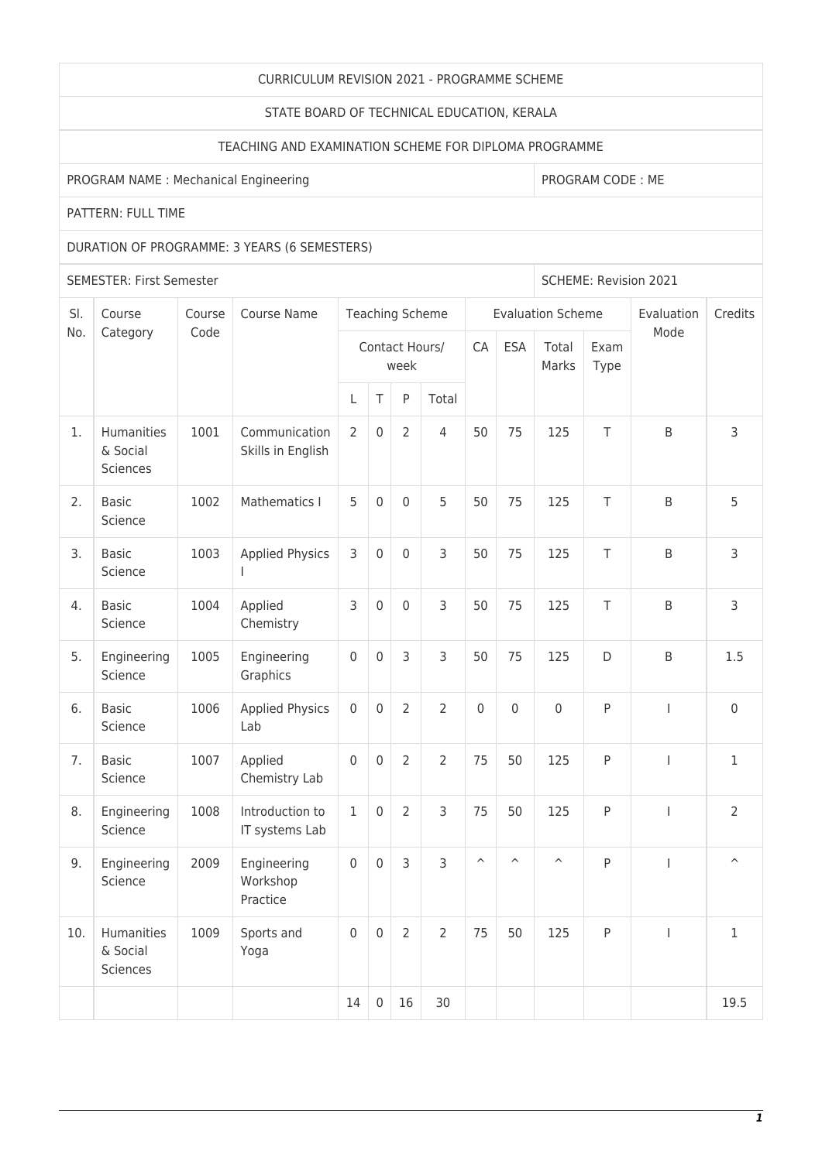### CURRICULUM REVISION 2021 - PROGRAMME SCHEME

### STATE BOARD OF TECHNICAL EDUCATION, KERALA

# TEACHING AND EXAMINATION SCHEME FOR DIPLOMA PROGRAMME

## PROGRAM NAME : Mechanical Engineering PROGRAM CODE : ME

PATTERN: FULL TIME

## DURATION OF PROGRAMME: 3 YEARS (6 SEMESTERS)

SEMESTER: First Semester Superintent and SCHEME: Revision 2021

| SI. | Course<br>Category                        | Course<br>Code | Course Name                         | <b>Teaching Scheme</b> |                     |                |                |                         |                         | <b>Evaluation Scheme</b> | Evaluation   | Credits                  |                         |
|-----|-------------------------------------------|----------------|-------------------------------------|------------------------|---------------------|----------------|----------------|-------------------------|-------------------------|--------------------------|--------------|--------------------------|-------------------------|
| No. |                                           |                |                                     | Contact Hours/<br>week |                     |                |                | CA                      | <b>ESA</b>              | Total<br>Marks           | Exam<br>Type | Mode                     |                         |
|     |                                           |                |                                     | L                      | $\top$              | P              | Total          |                         |                         |                          |              |                          |                         |
| 1.  | Humanities<br>& Social<br><b>Sciences</b> | 1001           | Communication<br>Skills in English  | $\overline{2}$         | $\mathsf{O}\xspace$ | $\overline{2}$ | $\overline{4}$ | 50                      | 75                      | 125                      | T            | B                        | 3                       |
| 2.  | <b>Basic</b><br>Science                   | 1002           | Mathematics I                       | 5                      | $\mathbf 0$         | $\mathbf 0$    | 5              | 50                      | 75                      | 125                      | T            | B                        | 5                       |
| 3.  | <b>Basic</b><br>Science                   | 1003           | <b>Applied Physics</b>              | 3                      | $\mathbf 0$         | 0              | 3              | 50                      | 75                      | 125                      | T            | B                        | 3                       |
| 4.  | <b>Basic</b><br>Science                   | 1004           | Applied<br>Chemistry                | 3                      | $\mathbf 0$         | $\mathbf 0$    | 3              | 50                      | 75                      | 125                      | T            | B                        | 3                       |
| 5.  | Engineering<br>Science                    | 1005           | Engineering<br>Graphics             | $\mathbf 0$            | $\mathbf 0$         | 3              | 3              | 50                      | 75                      | 125                      | D            | B                        | 1.5                     |
| 6.  | <b>Basic</b><br>Science                   | 1006           | <b>Applied Physics</b><br>Lab       | $\mathbf 0$            | $\mathbf 0$         | $\overline{2}$ | $\overline{2}$ | $\boldsymbol{0}$        | $\mathbf 0$             | $\mathsf{O}\xspace$      | P            | $\overline{\phantom{a}}$ | $\mathsf{O}\xspace$     |
| 7.  | <b>Basic</b><br>Science                   | 1007           | Applied<br>Chemistry Lab            | $\mathbf 0$            | $\mathbf 0$         | $\overline{2}$ | $\overline{2}$ | 75                      | 50                      | 125                      | P            | $\overline{1}$           | $\mathbf{1}$            |
| 8.  | Engineering<br>Science                    | 1008           | Introduction to<br>IT systems Lab   | $\mathbf 1$            | $\mathsf 0$         | $\overline{2}$ | 3              | 75                      | 50                      | 125                      | P            | $\overline{\phantom{a}}$ | $\overline{2}$          |
| 9.  | Engineering<br>Science                    | 2009           | Engineering<br>Workshop<br>Practice | $\mathbf 0$            | $\mathbf 0$         | 3              | $\overline{3}$ | $\widehat{\phantom{a}}$ | $\widehat{\phantom{a}}$ | $\widehat{\phantom{a}}$  | P            | $\mathbf{I}$             | $\widehat{\phantom{a}}$ |
| 10. | Humanities<br>& Social<br>Sciences        | 1009           | Sports and<br>Yoga                  | $\mathbf 0$            | $\boldsymbol{0}$    | 2              | $\overline{2}$ | 75                      | 50                      | 125                      | P            | $\mathbf{I}$             | $\mathbf{1}$            |
|     |                                           |                |                                     | 14                     | $\mathbf 0$         | 16             | 30             |                         |                         |                          |              |                          | 19.5                    |